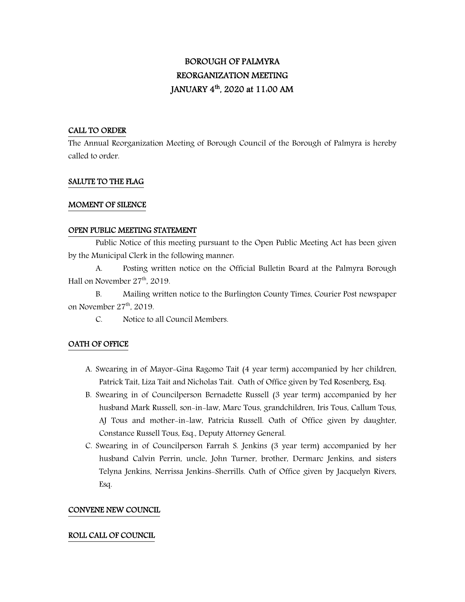# BOROUGH OF PALMYRA REORGANIZATION MEETING JANUARY 4<sup>th</sup>, 2020 at 11:00 AM

### CALL TO ORDER

The Annual Reorganization Meeting of Borough Council of the Borough of Palmyra is hereby called to order.

#### SALUTE TO THE FLAG

#### MOMENT OF SILENCE

#### OPEN PUBLIC MEETING STATEMENT

 Public Notice of this meeting pursuant to the Open Public Meeting Act has been given by the Municipal Clerk in the following manner:

A. Posting written notice on the Official Bulletin Board at the Palmyra Borough Hall on November  $27<sup>th</sup>$ , 2019.

B. Mailing written notice to the Burlington County Times, Courier Post newspaper on November 27<sup>th</sup>, 2019.

C. Notice to all Council Members.

### OATH OF OFFICE

- A. Swearing in of Mayor-Gina Ragomo Tait (4 year term) accompanied by her children, Patrick Tait, Liza Tait and Nicholas Tait. Oath of Office given by Ted Rosenberg, Esq.
- B. Swearing in of Councilperson Bernadette Russell (3 year term) accompanied by her husband Mark Russell, son-in-law, Marc Tous, grandchildren, Iris Tous, Callum Tous, AJ Tous and mother-in-law, Patricia Russell. Oath of Office given by daughter, Constance Russell Tous, Esq., Deputy Attorney General.
- C. Swearing in of Councilperson Farrah S. Jenkins (3 year term) accompanied by her husband Calvin Perrin, uncle, John Turner, brother, Dermarc Jenkins, and sisters Telyna Jenkins, Nerrissa Jenkins-Sherrills. Oath of Office given by Jacquelyn Rivers, Esq.

### CONVENE NEW COUNCIL

### ROLL CALL OF COUNCIL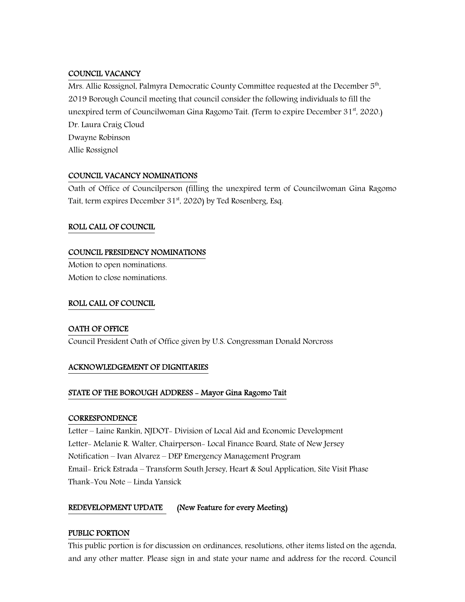### COUNCIL VACANCY

Mrs. Allie Rossignol, Palmyra Democratic County Committee requested at the December  $5<sup>th</sup>$ , 2019 Borough Council meeting that council consider the following individuals to fill the unexpired term of Councilwoman Gina Ragomo Tait. (Term to expire December 31<sup>st</sup>, 2020.) Dr. Laura Craig Cloud Dwayne Robinson Allie Rossignol

# COUNCIL VACANCY NOMINATIONS

Oath of Office of Councilperson (filling the unexpired term of Councilwoman Gina Ragomo Tait, term expires December 31<sup>st</sup>, 2020) by Ted Rosenberg, Esq.

## ROLL CALL OF COUNCIL

### COUNCIL PRESIDENCY NOMINATIONS

Motion to open nominations. Motion to close nominations.

### ROLL CALL OF COUNCIL

## OATH OF OFFICE

Council President Oath of Office given by U.S. Congressman Donald Norcross

## ACKNOWLEDGEMENT OF DIGNITARIES

## STATE OF THE BOROUGH ADDRESS - Mayor Gina Ragomo Tait

### **CORRESPONDENCE**

Letter – Laine Rankin, NJDOT- Division of Local Aid and Economic Development Letter- Melanie R. Walter, Chairperson- Local Finance Board, State of New Jersey Notification – Ivan Alvarez – DEP Emergency Management Program Email- Erick Estrada – Transform South Jersey, Heart & Soul Application, Site Visit Phase Thank-You Note – Linda Yansick

## REDEVELOPMENT UPDATE (New Feature for every Meeting)

### PUBLIC PORTION

This public portion is for discussion on ordinances, resolutions, other items listed on the agenda, and any other matter. Please sign in and state your name and address for the record. Council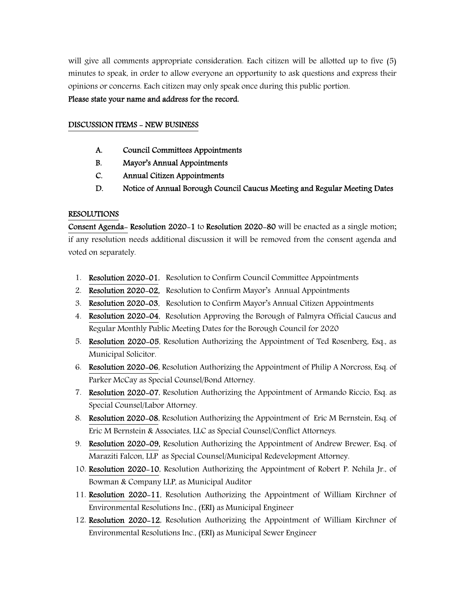will give all comments appropriate consideration. Each citizen will be allotted up to five (5) minutes to speak, in order to allow everyone an opportunity to ask questions and express their opinions or concerns. Each citizen may only speak once during this public portion.

### Please state your name and address for the record.

### DISCUSSION ITEMS - NEW BUSINESS

- A. Council Committees Appointments
- B. Mayor's Annual Appointments
- C. Annual Citizen Appointments
- D. Notice of Annual Borough Council Caucus Meeting and Regular Meeting Dates

### RESOLUTIONS

Consent Agenda- Resolution 2020-1 to Resolution 2020-80 will be enacted as a single motion; if any resolution needs additional discussion it will be removed from the consent agenda and voted on separately.

- 1. Resolution 2020-01, Resolution to Confirm Council Committee Appointments
- 2. Resolution 2020-02, Resolution to Confirm Mayor's Annual Appointments
- 3. Resolution 2020-03, Resolution to Confirm Mayor's Annual Citizen Appointments
- 4. Resolution 2020-04, Resolution Approving the Borough of Palmyra Official Caucus and Regular Monthly Public Meeting Dates for the Borough Council for 2020
- 5. Resolution 2020-05, Resolution Authorizing the Appointment of Ted Rosenberg, Esq., as Municipal Solicitor.
- 6. Resolution 2020-06, Resolution Authorizing the Appointment of Philip A Norcross, Esq. of Parker McCay as Special Counsel/Bond Attorney.
- 7. Resolution 2020-07, Resolution Authorizing the Appointment of Armando Riccio, Esq. as Special Counsel/Labor Attorney.
- 8. Resolution 2020-08, Resolution Authorizing the Appointment of Eric M Bernstein, Esq. of Eric M Bernstein & Associates, LLC as Special Counsel/Conflict Attorneys.
- 9. Resolution 2020-09, Resolution Authorizing the Appointment of Andrew Brewer, Esq. of Maraziti Falcon, LLP as Special Counsel/Municipal Redevelopment Attorney.
- 10. Resolution 2020-10, Resolution Authorizing the Appointment of Robert P. Nehila Jr., of Bowman & Company LLP, as Municipal Auditor
- 11. Resolution 2020-11, Resolution Authorizing the Appointment of William Kirchner of Environmental Resolutions Inc., (ERI) as Municipal Engineer
- 12. Resolution 2020-12, Resolution Authorizing the Appointment of William Kirchner of Environmental Resolutions Inc., (ERI) as Municipal Sewer Engineer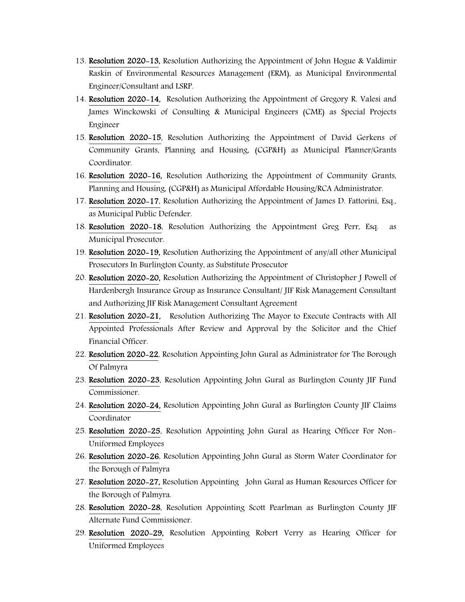- 13. Resolution 2020-13, Resolution Authorizing the Appointment of John Hogue & Valdimir Raskin of Environmental Resources Management (ERM), as Municipal Environmental Engineer/Consultant and LSRP.
- 14. Resolution 2020-14, Resolution Authorizing the Appointment of Gregory R. Valesi and James Winckowski of Consulting & Municipal Engineers (CME) as Special Projects Engineer
- 15. Resolution 2020-15, Resolution Authorizing the Appointment of David Gerkens of Community Grants, Planning and Housing, (CGP&H) as Municipal Planner/Grants Coordinator.
- 16. Resolution 2020-16, Resolution Authorizing the Appointment of Community Grants, Planning and Housing, (CGP&H) as Municipal Affordable Housing/RCA Administrator.
- 17. Resolution 2020-17, Resolution Authorizing the Appointment of James D. Fattorini, Esq., as Municipal Public Defender.
- 18. Resolution 2020-18, Resolution Authorizing the Appointment Greg Perr, Esq. as Municipal Prosecutor.
- 19. Resolution 2020-19, Resolution Authorizing the Appointment of any/all other Municipal Prosecutors In Burlington County, as Substitute Prosecutor
- 20. Resolution 2020-20, Resolution Authorizing the Appointment of Christopher J Powell of Hardenbergh Insurance Group as Insurance Consultant/ JIF Risk Management Consultant and Authorizing JIF Risk Management Consultant Agreement
- 21. Resolution 2020-21, Resolution Authorizing The Mayor to Execute Contracts with All Appointed Professionals After Review and Approval by the Solicitor and the Chief Financial Officer.
- 22. Resolution 2020-22, Resolution Appointing John Gural as Administrator for The Borough Of Palmyra
- 23. Resolution 2020-23, Resolution Appointing John Gural as Burlington County JIF Fund Commissioner.
- 24. Resolution 2020-24, Resolution Appointing John Gural as Burlington County JIF Claims Coordinator
- 25. Resolution 2020-25, Resolution Appointing John Gural as Hearing Officer For Non-Uniformed Employees
- 26. Resolution 2020-26, Resolution Appointing John Gural as Storm Water Coordinator for the Borough of Palmyra
- 27. Resolution 2020-27, Resolution Appointing John Gural as Human Resources Officer for the Borough of Palmyra.
- 28. Resolution 2020-28, Resolution Appointing Scott Pearlman as Burlington County JIF Alternate Fund Commissioner.
- 29. Resolution 2020-29, Resolution Appointing Robert Verry as Hearing Officer for Uniformed Employees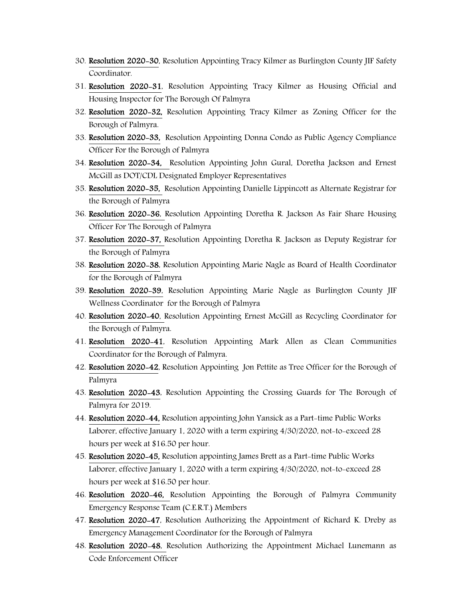- 30. Resolution 2020-30, Resolution Appointing Tracy Kilmer as Burlington County JIF Safety Coordinator.
- 31. Resolution 2020-31, Resolution Appointing Tracy Kilmer as Housing Official and Housing Inspector for The Borough Of Palmyra
- 32. Resolution 2020-32, Resolution Appointing Tracy Kilmer as Zoning Officer for the Borough of Palmyra.
- 33. Resolution 2020-33, Resolution Appointing Donna Condo as Public Agency Compliance Officer For the Borough of Palmyra
- 34. Resolution 2020-34, Resolution Appointing John Gural, Doretha Jackson and Ernest McGill as DOT/CDL Designated Employer Representatives
- 35. Resolution 2020-35, Resolution Appointing Danielle Lippincott as Alternate Registrar for the Borough of Palmyra
- 36. Resolution 2020-36, Resolution Appointing Doretha R. Jackson As Fair Share Housing Officer For The Borough of Palmyra
- 37. Resolution 2020-37, Resolution Appointing Doretha R. Jackson as Deputy Registrar for the Borough of Palmyra
- 38. Resolution 2020-38, Resolution Appointing Marie Nagle as Board of Health Coordinator for the Borough of Palmyra
- 39. Resolution 2020-39, Resolution Appointing Marie Nagle as Burlington County JIF Wellness Coordinator for the Borough of Palmyra
- 40. Resolution 2020-40, Resolution Appointing Ernest McGill as Recycling Coordinator for the Borough of Palmyra.
- 41. Resolution 2020-41, Resolution Appointing Mark Allen as Clean Communities Coordinator for the Borough of Palmyra.
- 42. Resolution 2020-42, Resolution Appointing Jon Pettite as Tree Officer for the Borough of Palmyra
- 43. Resolution 2020-43, Resolution Appointing the Crossing Guards for The Borough of Palmyra for 2019.
- 44. Resolution 2020-44, Resolution appointing John Yansick as a Part-time Public Works Laborer, effective January 1, 2020 with a term expiring 4/30/2020, not-to-exceed 28 hours per week at \$16.50 per hour.
- 45. Resolution 2020-45, Resolution appointing James Brett as a Part-time Public Works Laborer, effective January 1, 2020 with a term expiring 4/30/2020, not-to-exceed 28 hours per week at \$16.50 per hour.
- 46. Resolution 2020-46, Resolution Appointing the Borough of Palmyra Community Emergency Response Team (C.E.R.T.) Members
- 47. Resolution 2020-47, Resolution Authorizing the Appointment of Richard K. Dreby as Emergency Management Coordinator for the Borough of Palmyra
- 48. Resolution 2020-48, Resolution Authorizing the Appointment Michael Lunemann as Code Enforcement Officer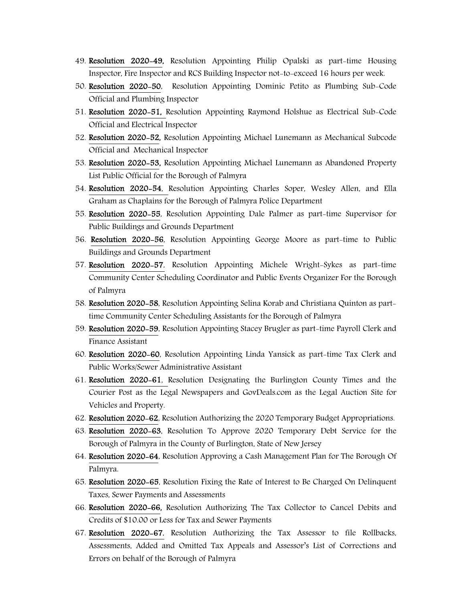- 49. Resolution 2020-49, Resolution Appointing Philip Opalski as part-time Housing Inspector, Fire Inspector and RCS Building Inspector not-to-exceed 16 hours per week.
- 50. Resolution 2020-50, Resolution Appointing Dominic Petito as Plumbing Sub-Code Official and Plumbing Inspector
- 51. Resolution 2020-51, Resolution Appointing Raymond Holshue as Electrical Sub-Code Official and Electrical Inspector
- 52. Resolution 2020-52, Resolution Appointing Michael Lunemann as Mechanical Subcode Official and Mechanical Inspector
- 53. Resolution 2020-53, Resolution Appointing Michael Lunemann as Abandoned Property List Public Official for the Borough of Palmyra
- 54. Resolution 2020-54, Resolution Appointing Charles Soper, Wesley Allen, and Ella Graham as Chaplains for the Borough of Palmyra Police Department
- 55. Resolution 2020-55, Resolution Appointing Dale Palmer as part-time Supervisor for Public Buildings and Grounds Department
- 56. Resolution 2020-56, Resolution Appointing George Moore as part-time to Public Buildings and Grounds Department
- 57. Resolution 2020-57, Resolution Appointing Michele Wright-Sykes as part-time Community Center Scheduling Coordinator and Public Events Organizer For the Borough of Palmyra
- 58. Resolution 2020-58, Resolution Appointing Selina Korab and Christiana Quinton as parttime Community Center Scheduling Assistants for the Borough of Palmyra
- 59. Resolution 2020-59, Resolution Appointing Stacey Brugler as part-time Payroll Clerk and Finance Assistant
- 60. Resolution 2020-60, Resolution Appointing Linda Yansick as part-time Tax Clerk and Public Works/Sewer Administrative Assistant
- 61. Resolution 2020-61, Resolution Designating the Burlington County Times and the Courier Post as the Legal Newspapers and GovDeals.com as the Legal Auction Site for Vehicles and Property.
- 62. Resolution 2020-62, Resolution Authorizing the 2020 Temporary Budget Appropriations.
- 63. Resolution 2020-63, Resolution To Approve 2020 Temporary Debt Service for the Borough of Palmyra in the County of Burlington, State of New Jersey
- 64. Resolution 2020-64, Resolution Approving a Cash Management Plan for The Borough Of Palmyra.
- 65. Resolution 2020-65, Resolution Fixing the Rate of Interest to Be Charged On Delinquent Taxes, Sewer Payments and Assessments
- 66. Resolution 2020-66, Resolution Authorizing The Tax Collector to Cancel Debits and Credits of \$10.00 or Less for Tax and Sewer Payments
- 67. Resolution 2020-67, Resolution Authorizing the Tax Assessor to file Rollbacks, Assessments, Added and Omitted Tax Appeals and Assessor's List of Corrections and Errors on behalf of the Borough of Palmyra